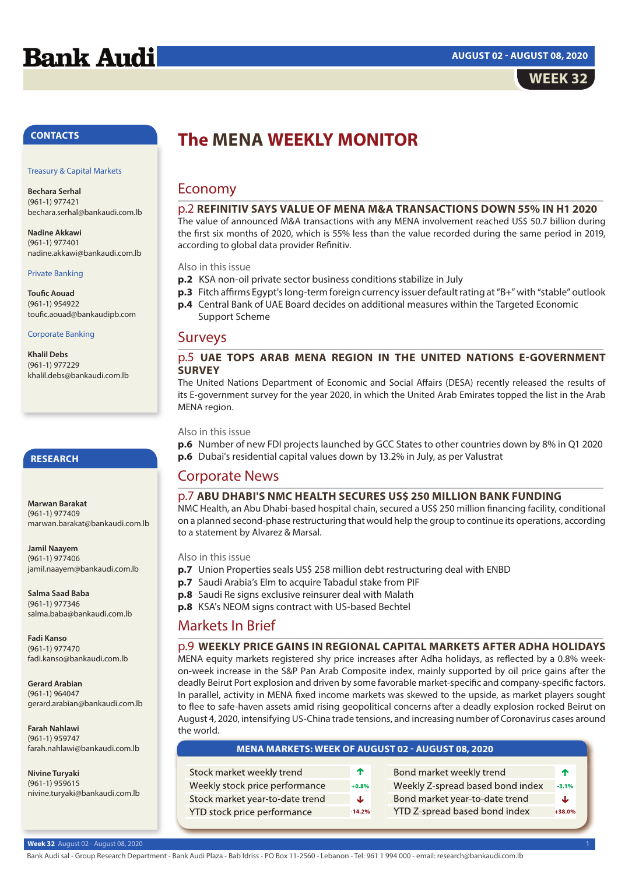# **Bank Audi**



## **CONTACTS**

#### Treasury & Capital Markets

**Bechara Serhal** (961-1) 977421 bechara.serhal@bankaudi.com.lb

**Nadine Akkawi** (961-1) 977401 nadine.akkawi@bankaudi.com.lb

#### Private Banking

**Toufic Aouad** (961-1) 954922 toufic.aouad@bankaudipb.com

### Corporate Banking

**Khalil Debs** (961-1) 977229 khalil.debs@bankaudi.com.lb

# **RESEARCH**

**Marwan Barakat** (961-1) 977409 marwan.barakat@bankaudi.com.lb

**Jamil Naayem** (961-1) 977406 jamil.naayem@bankaudi.com.lb

**Salma Saad Baba** (961-1) 977346 salma.baba@bankaudi.com.lh

**Fadi Kanso** (961-1) 977470 fadi.kanso@bankaudi.com.lb

**Gerard Arabian** (961-1) 964047 gerard.arabian@bankaudi.com.lb

**Farah Nahlawi** (961-1) 959747 farah.nahlawi@bankaudi.com.lb

**Nivine Turyaki** (961-1) 959615 nivine.turyaki@bankaudi.com.lb

# **The MENA WEEKLY MONITOR**

#### Economy \_\_\_\_\_\_\_\_\_\_\_\_\_\_\_\_\_\_\_\_\_\_\_\_\_\_\_\_\_\_\_\_\_\_\_\_\_\_\_\_\_\_\_\_\_\_\_\_\_\_\_\_\_\_\_\_\_\_\_\_\_\_\_\_\_\_\_\_\_\_\_\_\_\_\_

### p.2 **REFINITIV SAYS VALUE OF MENA M&A TRANSACTIONS DOWN 55% IN H1 2020**

The value of announced M&A transactions with any MENA involvement reached US\$ 50.7 billion during the first six months of 2020, which is 55% less than the value recorded during the same period in 2019, according to global data provider Refinitiv.

Also in this issue

- **p.2** KSA non-oil private sector business conditions stabilize in July
- **p.3** Fitch affirms Egypt's long-term foreign currency issuer default rating at "B+" with "stable" outlook
- **p.4** Central Bank of UAE Board decides on additional measures within the Targeted Economic Support Scheme

### Surveys \_\_\_\_\_\_\_\_\_\_\_\_\_\_\_\_\_\_\_\_\_\_\_\_\_\_\_\_\_\_\_\_\_\_\_\_\_\_\_\_\_\_\_\_\_\_\_\_\_\_\_\_\_\_\_\_\_\_\_\_\_\_\_\_\_\_\_\_\_\_\_\_\_\_\_

# p.5 **UAE TOPS ARAB MENA REGION IN THE UNITED NATIONS E-GOVERNMENT SURVEY**

The United Nations Department of Economic and Social Affairs (DESA) recently released the results of its E-government survey for the year 2020, in which the United Arab Emirates topped the list in the Arab MENA region.

## Also in this issue

**p.6** Number of new FDI projects launched by GCC States to other countries down by 8% in Q1 2020 **p.6** Dubai's residential capital values down by 13.2% in July, as per Valustrat

#### Corporate News \_\_\_\_\_\_\_\_\_\_\_\_\_\_\_\_\_\_\_\_\_\_\_\_\_\_\_\_\_\_\_\_\_\_\_\_\_\_\_\_\_\_\_\_\_\_\_\_\_\_\_\_\_\_\_\_\_\_\_\_\_\_\_\_\_\_\_\_\_\_\_\_\_\_\_

# p.7 **ABU DHABI'S NMC HEALTH SECURES US\$ 250 MILLION BANK FUNDING**

NMC Health, an Abu Dhabi-based hospital chain, secured a US\$ 250 million financing facility, conditional on a planned second-phase restructuring that would help the group to continue its operations, according to a statement by Alvarez & Marsal.

Also in this issue

- **p.7** Union Properties seals US\$ 258 million debt restructuring deal with ENBD
- **p.7** Saudi Arabia's Elm to acquire Tabadul stake from PIF
- **p.8** Saudi Re signs exclusive reinsurer deal with Malath
- **p.8** KSA's NEOM signs contract with US-based Bechtel

#### Markets In Brief \_\_\_\_\_\_\_\_\_\_\_\_\_\_\_\_\_\_\_\_\_\_\_\_\_\_\_\_\_\_\_\_\_\_\_\_\_\_\_\_\_\_\_\_\_\_\_\_\_\_\_\_\_\_\_\_\_\_\_\_\_\_\_\_\_\_\_\_\_\_\_\_\_\_\_

## p.9 **WEEKLY PRICE GAINS IN REGIONAL CAPITAL MARKETS AFTER ADHA HOLIDAYS**

MENA equity markets registered shy price increases after Adha holidays, as reflected by a 0.8% weekon-week increase in the S&P Pan Arab Composite index, mainly supported by oil price gains after the deadly Beirut Port explosion and driven by some favorable market-specific and company-specific factors. In parallel, activity in MENA fixed income markets was skewed to the upside, as market players sought to flee to safe-haven assets amid rising geopolitical concerns after a deadly explosion rocked Beirut on August 4, 2020, intensifying US-China trade tensions, and increasing number of Coronavirus cases around the world.

| <b>MENA MARKETS: WEEK OF AUGUST 02 - AUGUST 08, 2020</b> |                  |                                  |          |  |  |  |
|----------------------------------------------------------|------------------|----------------------------------|----------|--|--|--|
|                                                          |                  |                                  |          |  |  |  |
| Stock market weekly trend                                | $\triangleright$ | Bond market weekly trend         | ́↑       |  |  |  |
| Weekly stock price performance                           | $+0.8%$          | Weekly Z-spread based bond index | $-3.1%$  |  |  |  |
| Stock market year-to-date trend                          | J                | Bond market year-to-date trend   | J        |  |  |  |
| YTD stock price performance                              | $-14.2%$         | YTD Z-spread based bond index    | $+38.0%$ |  |  |  |
|                                                          |                  |                                  |          |  |  |  |

## **Week 32** August 02 - August 08, 2020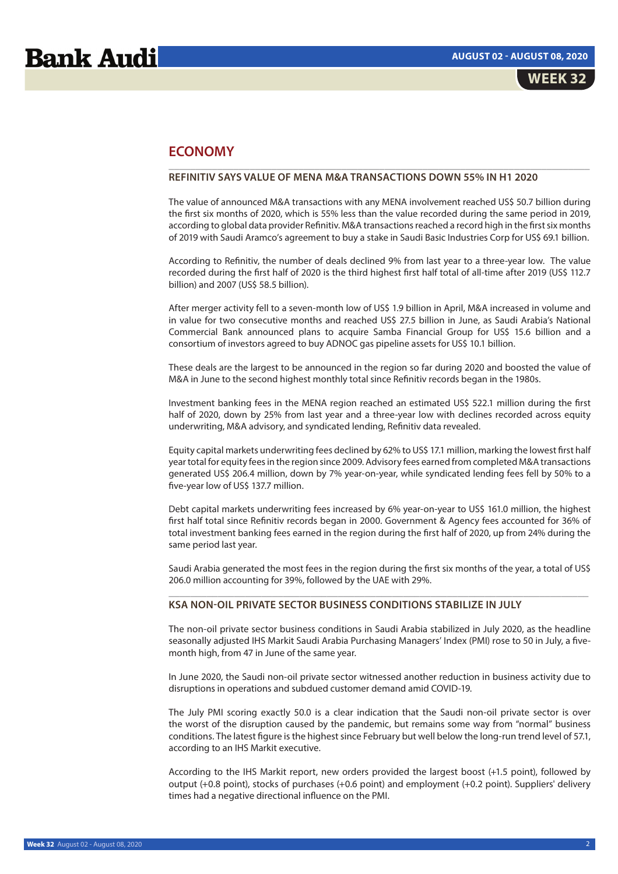# **ECONOMY**

# **REFINITIV SAYS VALUE OF MENA M&A TRANSACTIONS DOWN 55% IN H1 2020**

The value of announced M&A transactions with any MENA involvement reached US\$ 50.7 billion during the first six months of 2020, which is 55% less than the value recorded during the same period in 2019, according to global data provider Refinitiv. M&A transactions reached a record high in the first six months of 2019 with Saudi Aramco's agreement to buy a stake in Saudi Basic Industries Corp for US\$ 69.1 billion.

 $\mathcal{L}_\text{max} = \mathcal{L}_\text{max} = \mathcal{L}_\text{max} = \mathcal{L}_\text{max} = \mathcal{L}_\text{max} = \mathcal{L}_\text{max} = \mathcal{L}_\text{max} = \mathcal{L}_\text{max} = \mathcal{L}_\text{max} = \mathcal{L}_\text{max} = \mathcal{L}_\text{max} = \mathcal{L}_\text{max} = \mathcal{L}_\text{max} = \mathcal{L}_\text{max} = \mathcal{L}_\text{max} = \mathcal{L}_\text{max} = \mathcal{L}_\text{max} = \mathcal{L}_\text{max} = \mathcal{$ 

According to Refinitiv, the number of deals declined 9% from last year to a three-year low. The value recorded during the first half of 2020 is the third highest first half total of all-time after 2019 (US\$ 112.7 billion) and 2007 (US\$ 58.5 billion).

After merger activity fell to a seven-month low of US\$ 1.9 billion in April, M&A increased in volume and in value for two consecutive months and reached US\$ 27.5 billion in June, as Saudi Arabia's National Commercial Bank announced plans to acquire Samba Financial Group for US\$ 15.6 billion and a consortium of investors agreed to buy ADNOC gas pipeline assets for US\$ 10.1 billion.

These deals are the largest to be announced in the region so far during 2020 and boosted the value of M&A in June to the second highest monthly total since Refinitiv records began in the 1980s.

Investment banking fees in the MENA region reached an estimated US\$ 522.1 million during the first half of 2020, down by 25% from last year and a three-year low with declines recorded across equity underwriting, M&A advisory, and syndicated lending, Refinitiv data revealed.

Equity capital markets underwriting fees declined by 62% to US\$ 17.1 million, marking the lowest first half year total for equity fees in the region since 2009. Advisory fees earned from completed M&A transactions generated US\$ 206.4 million, down by 7% year-on-year, while syndicated lending fees fell by 50% to a five-year low of US\$ 137.7 million.

Debt capital markets underwriting fees increased by 6% year-on-year to US\$ 161.0 million, the highest first half total since Refinitiv records began in 2000. Government & Agency fees accounted for 36% of total investment banking fees earned in the region during the first half of 2020, up from 24% during the same period last year.

Saudi Arabia generated the most fees in the region during the first six months of the year, a total of US\$ 206.0 million accounting for 39%, followed by the UAE with 29%. \_\_\_\_\_\_\_\_\_\_\_\_\_\_\_\_\_\_\_\_\_\_\_\_\_\_\_\_\_\_\_\_\_\_\_\_\_\_\_\_\_\_\_\_\_\_\_\_\_\_\_\_\_\_\_\_\_\_\_\_\_\_\_\_\_\_\_\_\_\_\_\_\_\_\_\_\_

# **KSA NON-OIL PRIVATE SECTOR BUSINESS CONDITIONS STABILIZE IN JULY**

The non-oil private sector business conditions in Saudi Arabia stabilized in July 2020, as the headline seasonally adjusted IHS Markit Saudi Arabia Purchasing Managers' Index (PMI) rose to 50 in July, a fivemonth high, from 47 in June of the same year.

In June 2020, the Saudi non-oil private sector witnessed another reduction in business activity due to disruptions in operations and subdued customer demand amid COVID-19.

The July PMI scoring exactly 50.0 is a clear indication that the Saudi non-oil private sector is over the worst of the disruption caused by the pandemic, but remains some way from "normal" business conditions. The latest figure is the highest since February but well below the long-run trend level of 57.1, according to an IHS Markit executive.

According to the IHS Markit report, new orders provided the largest boost (+1.5 point), followed by output (+0.8 point), stocks of purchases (+0.6 point) and employment (+0.2 point). Suppliers' delivery times had a negative directional influence on the PMI.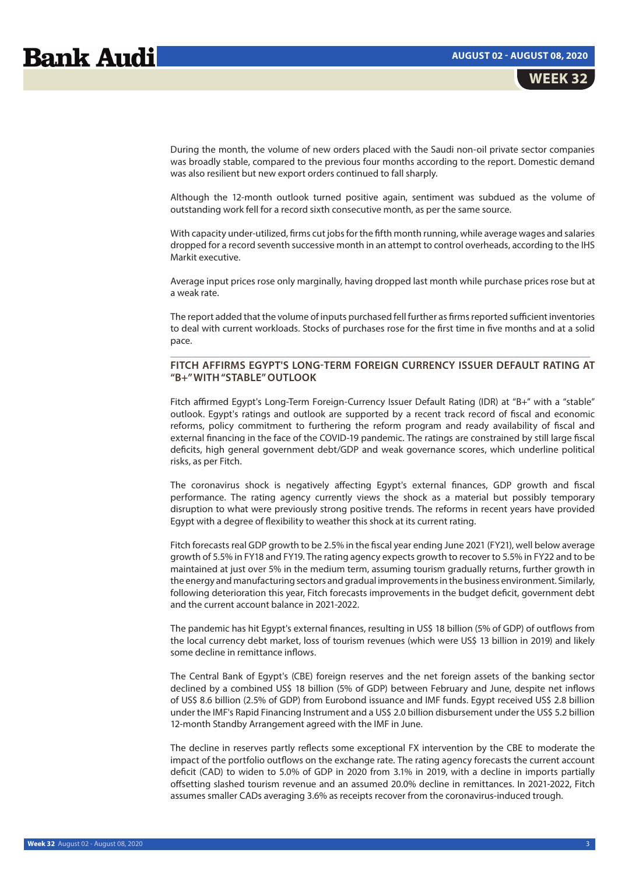During the month, the volume of new orders placed with the Saudi non-oil private sector companies was broadly stable, compared to the previous four months according to the report. Domestic demand was also resilient but new export orders continued to fall sharply.

Although the 12-month outlook turned positive again, sentiment was subdued as the volume of outstanding work fell for a record sixth consecutive month, as per the same source.

With capacity under-utilized, firms cut jobs for the fifth month running, while average wages and salaries dropped for a record seventh successive month in an attempt to control overheads, according to the IHS Markit executive.

Average input prices rose only marginally, having dropped last month while purchase prices rose but at a weak rate.

The report added that the volume of inputs purchased fell further as firms reported sufficient inventories to deal with current workloads. Stocks of purchases rose for the first time in five months and at a solid pace.

## \_\_\_\_\_\_\_\_\_\_\_\_\_\_\_\_\_\_\_\_\_\_\_\_\_\_\_\_\_\_\_\_\_\_\_\_\_\_\_\_\_\_\_\_\_\_\_\_\_\_\_\_\_\_\_\_\_\_\_\_\_\_\_\_\_\_\_\_\_\_\_\_\_\_\_\_\_ **FITCH AFFIRMS EGYPT'S LONG-TERM FOREIGN CURRENCY ISSUER DEFAULT RATING AT "B+" WITH "STABLE" OUTLOOK**

Fitch affirmed Egypt's Long-Term Foreign-Currency Issuer Default Rating (IDR) at "B+" with a "stable" outlook. Egypt's ratings and outlook are supported by a recent track record of fiscal and economic reforms, policy commitment to furthering the reform program and ready availability of fiscal and external financing in the face of the COVID-19 pandemic. The ratings are constrained by still large fiscal deficits, high general government debt/GDP and weak governance scores, which underline political risks, as per Fitch.

The coronavirus shock is negatively affecting Egypt's external finances, GDP growth and fiscal performance. The rating agency currently views the shock as a material but possibly temporary disruption to what were previously strong positive trends. The reforms in recent years have provided Egypt with a degree of flexibility to weather this shock at its current rating.

Fitch forecasts real GDP growth to be 2.5% in the fiscal year ending June 2021 (FY21), well below average growth of 5.5% in FY18 and FY19. The rating agency expects growth to recover to 5.5% in FY22 and to be maintained at just over 5% in the medium term, assuming tourism gradually returns, further growth in the energy and manufacturing sectors and gradual improvements in the business environment. Similarly, following deterioration this year, Fitch forecasts improvements in the budget deficit, government debt and the current account balance in 2021-2022.

The pandemic has hit Egypt's external finances, resulting in US\$ 18 billion (5% of GDP) of outflows from the local currency debt market, loss of tourism revenues (which were US\$ 13 billion in 2019) and likely some decline in remittance inflows.

The Central Bank of Egypt's (CBE) foreign reserves and the net foreign assets of the banking sector declined by a combined US\$ 18 billion (5% of GDP) between February and June, despite net inflows of US\$ 8.6 billion (2.5% of GDP) from Eurobond issuance and IMF funds. Egypt received US\$ 2.8 billion under the IMF's Rapid Financing Instrument and a US\$ 2.0 billion disbursement under the US\$ 5.2 billion 12-month Standby Arrangement agreed with the IMF in June.

The decline in reserves partly reflects some exceptional FX intervention by the CBE to moderate the impact of the portfolio outflows on the exchange rate. The rating agency forecasts the current account deficit (CAD) to widen to 5.0% of GDP in 2020 from 3.1% in 2019, with a decline in imports partially offsetting slashed tourism revenue and an assumed 20.0% decline in remittances. In 2021-2022, Fitch assumes smaller CADs averaging 3.6% as receipts recover from the coronavirus-induced trough.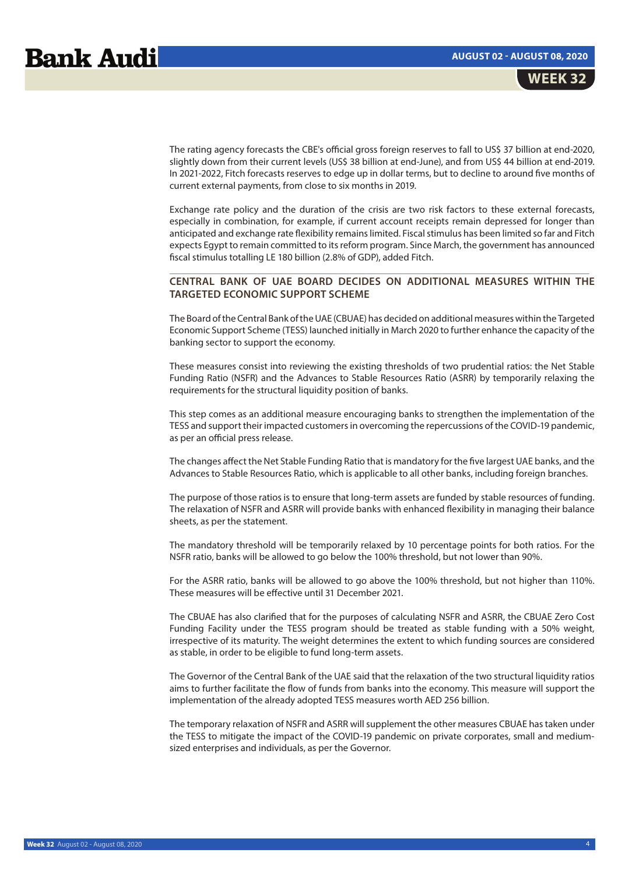The rating agency forecasts the CBE's official gross foreign reserves to fall to US\$ 37 billion at end-2020, slightly down from their current levels (US\$ 38 billion at end-June), and from US\$ 44 billion at end-2019. In 2021-2022, Fitch forecasts reserves to edge up in dollar terms, but to decline to around five months of current external payments, from close to six months in 2019.

Exchange rate policy and the duration of the crisis are two risk factors to these external forecasts, especially in combination, for example, if current account receipts remain depressed for longer than anticipated and exchange rate flexibility remains limited. Fiscal stimulus has been limited so far and Fitch expects Egypt to remain committed to its reform program. Since March, the government has announced fiscal stimulus totalling LE 180 billion (2.8% of GDP), added Fitch.

# \_\_\_\_\_\_\_\_\_\_\_\_\_\_\_\_\_\_\_\_\_\_\_\_\_\_\_\_\_\_\_\_\_\_\_\_\_\_\_\_\_\_\_\_\_\_\_\_\_\_\_\_\_\_\_\_\_\_\_\_\_\_\_\_\_\_\_\_\_\_\_\_\_\_\_\_\_ **CENTRAL BANK OF UAE BOARD DECIDES ON ADDITIONAL MEASURES WITHIN THE TARGETED ECONOMIC SUPPORT SCHEME**

The Board of the Central Bank of the UAE (CBUAE) has decided on additional measures within the Targeted Economic Support Scheme (TESS) launched initially in March 2020 to further enhance the capacity of the banking sector to support the economy.

These measures consist into reviewing the existing thresholds of two prudential ratios: the Net Stable Funding Ratio (NSFR) and the Advances to Stable Resources Ratio (ASRR) by temporarily relaxing the requirements for the structural liquidity position of banks.

This step comes as an additional measure encouraging banks to strengthen the implementation of the TESS and support their impacted customers in overcoming the repercussions of the COVID-19 pandemic, as per an official press release.

The changes affect the Net Stable Funding Ratio that is mandatory for the five largest UAE banks, and the Advances to Stable Resources Ratio, which is applicable to all other banks, including foreign branches.

The purpose of those ratios is to ensure that long-term assets are funded by stable resources of funding. The relaxation of NSFR and ASRR will provide banks with enhanced flexibility in managing their balance sheets, as per the statement.

The mandatory threshold will be temporarily relaxed by 10 percentage points for both ratios. For the NSFR ratio, banks will be allowed to go below the 100% threshold, but not lower than 90%.

For the ASRR ratio, banks will be allowed to go above the 100% threshold, but not higher than 110%. These measures will be effective until 31 December 2021.

The CBUAE has also clarified that for the purposes of calculating NSFR and ASRR, the CBUAE Zero Cost Funding Facility under the TESS program should be treated as stable funding with a 50% weight, irrespective of its maturity. The weight determines the extent to which funding sources are considered as stable, in order to be eligible to fund long-term assets.

The Governor of the Central Bank of the UAE said that the relaxation of the two structural liquidity ratios aims to further facilitate the flow of funds from banks into the economy. This measure will support the implementation of the already adopted TESS measures worth AED 256 billion.

The temporary relaxation of NSFR and ASRR will supplement the other measures CBUAE has taken under the TESS to mitigate the impact of the COVID-19 pandemic on private corporates, small and mediumsized enterprises and individuals, as per the Governor.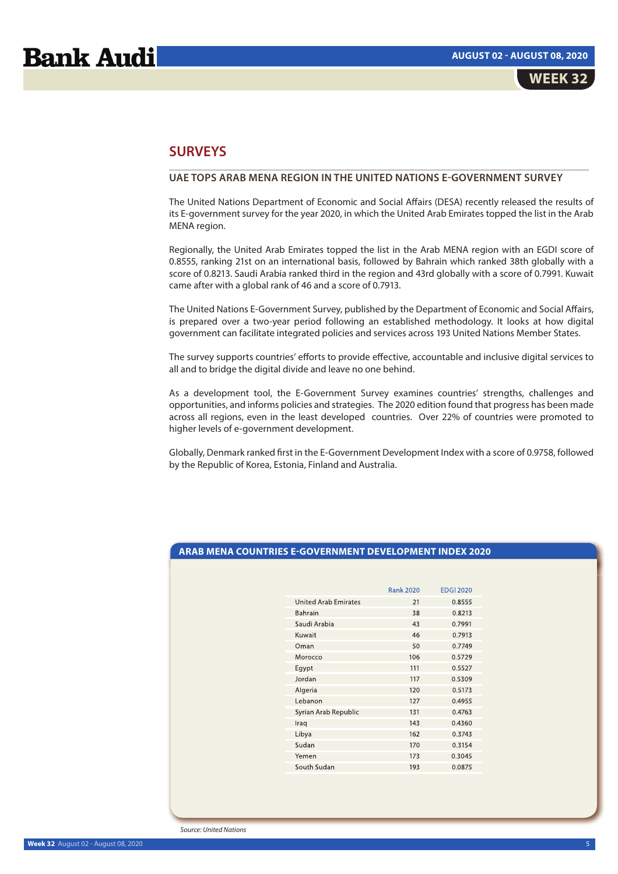# **SURVEYS**

# **UAE TOPS ARAB MENA REGION IN THE UNITED NATIONS E-GOVERNMENT SURVEY**

The United Nations Department of Economic and Social Affairs (DESA) recently released the results of its E-government survey for the year 2020, in which the United Arab Emirates topped the list in the Arab MENA region.

\_\_\_\_\_\_\_\_\_\_\_\_\_\_\_\_\_\_\_\_\_\_\_\_\_\_\_\_\_\_\_\_\_\_\_\_\_\_\_\_\_\_\_\_\_\_\_\_\_\_\_\_\_\_\_\_\_\_\_\_\_\_\_\_\_\_\_\_\_\_\_\_\_\_\_\_\_

Regionally, the United Arab Emirates topped the list in the Arab MENA region with an EGDI score of 0.8555, ranking 21st on an international basis, followed by Bahrain which ranked 38th globally with a score of 0.8213. Saudi Arabia ranked third in the region and 43rd globally with a score of 0.7991. Kuwait came after with a global rank of 46 and a score of 0.7913.

The United Nations E-Government Survey, published by the Department of Economic and Social Affairs, is prepared over a two-year period following an established methodology. It looks at how digital government can facilitate integrated policies and services across 193 United Nations Member States.

The survey supports countries' efforts to provide effective, accountable and inclusive digital services to all and to bridge the digital divide and leave no one behind.

As a development tool, the E-Government Survey examines countries' strengths, challenges and opportunities, and informs policies and strategies. The 2020 edition found that progress has been made across all regions, even in the least developed countries. Over 22% of countries were promoted to higher levels of e-government development.

Globally, Denmark ranked first in the E-Government Development Index with a score of 0.9758, followed by the Republic of Korea, Estonia, Finland and Australia.

# **ARAB MENA COUNTRIES E-GOVERNMENT DEVELOPMENT INDEX 2020**

|                             | <b>Rank 2020</b> | <b>EDGI 2020</b> |
|-----------------------------|------------------|------------------|
| <b>United Arab Emirates</b> | 21               | 0.8555           |
| <b>Bahrain</b>              | 38               | 0.8213           |
| Saudi Arabia                | 43               | 0.7991           |
| Kuwait                      | 46               | 0.7913           |
| Oman                        | 50               | 0.7749           |
| Morocco                     | 106              | 0.5729           |
| Egypt                       | 111              | 0.5527           |
| Jordan                      | 117              | 0.5309           |
| Algeria                     | 120              | 0.5173           |
| Lebanon                     | 127              | 0.4955           |
| Syrian Arab Republic        | 131              | 0.4763           |
| Iraq                        | 143              | 0.4360           |
| Libya                       | 162              | 0.3743           |
| Sudan                       | 170              | 0.3154           |
| Yemen                       | 173              | 0.3045           |
| South Sudan                 | 193              | 0.0875           |
|                             |                  |                  |

Source: United Nations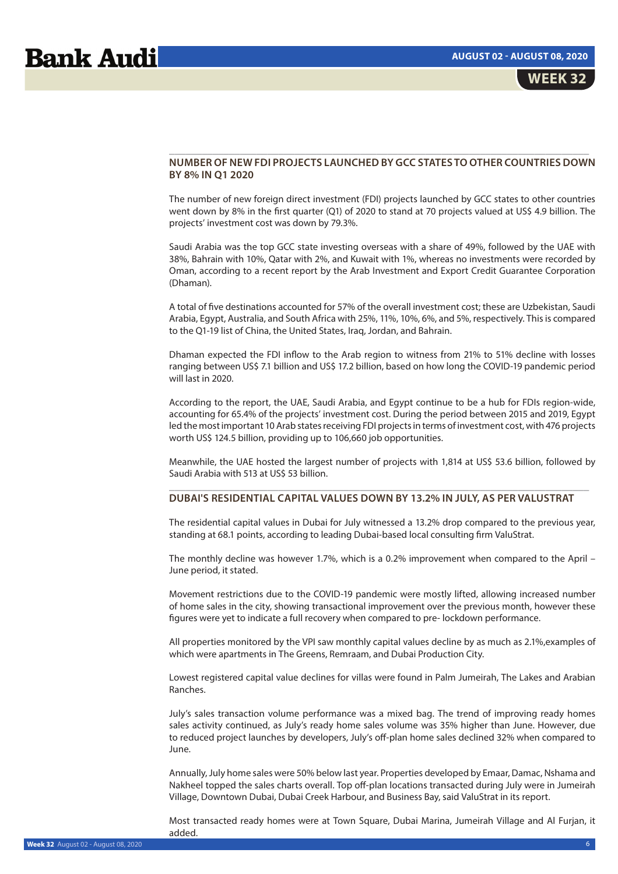## **NUMBER OF NEW FDI PROJECTS LAUNCHED BY GCC STATES TO OTHER COUNTRIES DOWN BY 8% IN Q1 2020**

\_\_\_\_\_\_\_\_\_\_\_\_\_\_\_\_\_\_\_\_\_\_\_\_\_\_\_\_\_\_\_\_\_\_\_\_\_\_\_\_\_\_\_\_\_\_\_\_\_\_\_\_\_\_\_\_\_\_\_\_\_\_\_\_\_\_\_\_\_\_\_\_\_\_\_\_\_

The number of new foreign direct investment (FDI) projects launched by GCC states to other countries went down by 8% in the first quarter (Q1) of 2020 to stand at 70 projects valued at US\$ 4.9 billion. The projects' investment cost was down by 79.3%.

Saudi Arabia was the top GCC state investing overseas with a share of 49%, followed by the UAE with 38%, Bahrain with 10%, Qatar with 2%, and Kuwait with 1%, whereas no investments were recorded by Oman, according to a recent report by the Arab Investment and Export Credit Guarantee Corporation (Dhaman).

A total of five destinations accounted for 57% of the overall investment cost; these are Uzbekistan, Saudi Arabia, Egypt, Australia, and South Africa with 25%, 11%, 10%, 6%, and 5%, respectively. This is compared to the Q1-19 list of China, the United States, Iraq, Jordan, and Bahrain.

Dhaman expected the FDI inflow to the Arab region to witness from 21% to 51% decline with losses ranging between US\$ 7.1 billion and US\$ 17.2 billion, based on how long the COVID-19 pandemic period will last in 2020.

According to the report, the UAE, Saudi Arabia, and Egypt continue to be a hub for FDIs region-wide, accounting for 65.4% of the projects' investment cost. During the period between 2015 and 2019, Egypt led the most important 10 Arab states receiving FDI projects in terms of investment cost, with 476 projects worth US\$ 124.5 billion, providing up to 106,660 job opportunities.

Meanwhile, the UAE hosted the largest number of projects with 1,814 at US\$ 53.6 billion, followed by Saudi Arabia with 513 at US\$ 53 billion. \_\_\_\_\_\_\_\_\_\_\_\_\_\_\_\_\_\_\_\_\_\_\_\_\_\_\_\_\_\_\_\_\_\_\_\_\_\_\_\_\_\_\_\_\_\_\_\_\_\_\_\_\_\_\_\_\_\_\_\_\_\_\_\_\_\_\_\_\_\_\_\_\_\_\_\_\_

# **DUBAI'S RESIDENTIAL CAPITAL VALUES DOWN BY 13.2% IN JULY, AS PER VALUSTRAT**

The residential capital values in Dubai for July witnessed a 13.2% drop compared to the previous year, standing at 68.1 points, according to leading Dubai-based local consulting firm ValuStrat.

The monthly decline was however 1.7%, which is a 0.2% improvement when compared to the April – June period, it stated.

Movement restrictions due to the COVID-19 pandemic were mostly lifted, allowing increased number of home sales in the city, showing transactional improvement over the previous month, however these figures were yet to indicate a full recovery when compared to pre- lockdown performance.

All properties monitored by the VPI saw monthly capital values decline by as much as 2.1%,examples of which were apartments in The Greens, Remraam, and Dubai Production City.

Lowest registered capital value declines for villas were found in Palm Jumeirah, The Lakes and Arabian Ranches.

July's sales transaction volume performance was a mixed bag. The trend of improving ready homes sales activity continued, as July's ready home sales volume was 35% higher than June. However, due to reduced project launches by developers, July's off-plan home sales declined 32% when compared to June.

Annually, July home sales were 50% below last year. Properties developed by Emaar, Damac, Nshama and Nakheel topped the sales charts overall. Top off-plan locations transacted during July were in Jumeirah Village, Downtown Dubai, Dubai Creek Harbour, and Business Bay, said ValuStrat in its report.

Most transacted ready homes were at Town Square, Dubai Marina, Jumeirah Village and Al Furjan, it added.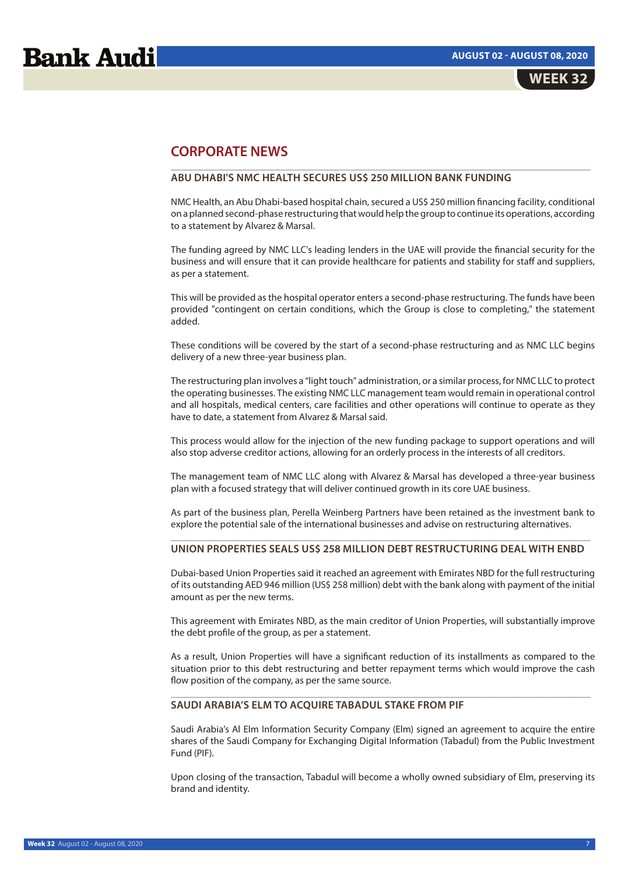# **CORPORATE NEWS**

# **ABU DHABI'S NMC HEALTH SECURES US\$ 250 MILLION BANK FUNDING**

NMC Health, an Abu Dhabi-based hospital chain, secured a US\$ 250 million financing facility, conditional on a planned second-phase restructuring that would help the group to continue its operations, according to a statement by Alvarez & Marsal.

\_\_\_\_\_\_\_\_\_\_\_\_\_\_\_\_\_\_\_\_\_\_\_\_\_\_\_\_\_\_\_\_\_\_\_\_\_\_\_\_\_\_\_\_\_\_\_\_\_\_\_\_\_\_\_\_\_\_\_\_\_\_\_\_\_\_\_\_\_\_\_\_\_\_\_\_\_

The funding agreed by NMC LLC's leading lenders in the UAE will provide the financial security for the business and will ensure that it can provide healthcare for patients and stability for staff and suppliers, as per a statement.

This will be provided as the hospital operator enters a second-phase restructuring. The funds have been provided "contingent on certain conditions, which the Group is close to completing," the statement added.

These conditions will be covered by the start of a second-phase restructuring and as NMC LLC begins delivery of a new three-year business plan.

The restructuring plan involves a "light touch" administration, or a similar process, for NMC LLC to protect the operating businesses. The existing NMC LLC management team would remain in operational control and all hospitals, medical centers, care facilities and other operations will continue to operate as they have to date, a statement from Alvarez & Marsal said.

This process would allow for the injection of the new funding package to support operations and will also stop adverse creditor actions, allowing for an orderly process in the interests of all creditors.

The management team of NMC LLC along with Alvarez & Marsal has developed a three-year business plan with a focused strategy that will deliver continued growth in its core UAE business.

As part of the business plan, Perella Weinberg Partners have been retained as the investment bank to explore the potential sale of the international businesses and advise on restructuring alternatives.

## \_\_\_\_\_\_\_\_\_\_\_\_\_\_\_\_\_\_\_\_\_\_\_\_\_\_\_\_\_\_\_\_\_\_\_\_\_\_\_\_\_\_\_\_\_\_\_\_\_\_\_\_\_\_\_\_\_\_\_\_\_\_\_\_\_\_\_\_\_\_\_\_\_\_\_\_\_ **UNION PROPERTIES SEALS US\$ 258 MILLION DEBT RESTRUCTURING DEAL WITH ENBD**

Dubai-based Union Properties said it reached an agreement with Emirates NBD for the full restructuring of its outstanding AED 946 million (US\$ 258 million) debt with the bank along with payment of the initial amount as per the new terms.

This agreement with Emirates NBD, as the main creditor of Union Properties, will substantially improve the debt profile of the group, as per a statement.

As a result, Union Properties will have a significant reduction of its installments as compared to the situation prior to this debt restructuring and better repayment terms which would improve the cash flow position of the company, as per the same source.

\_\_\_\_\_\_\_\_\_\_\_\_\_\_\_\_\_\_\_\_\_\_\_\_\_\_\_\_\_\_\_\_\_\_\_\_\_\_\_\_\_\_\_\_\_\_\_\_\_\_\_\_\_\_\_\_\_\_\_\_\_\_\_\_\_\_\_\_\_\_\_\_\_\_\_\_\_

## **SAUDI ARABIA'S ELM TO ACQUIRE TABADUL STAKE FROM PIF**

Saudi Arabia's Al Elm Information Security Company (Elm) signed an agreement to acquire the entire shares of the Saudi Company for Exchanging Digital Information (Tabadul) from the Public Investment Fund (PIF).

Upon closing of the transaction, Tabadul will become a wholly owned subsidiary of Elm, preserving its brand and identity.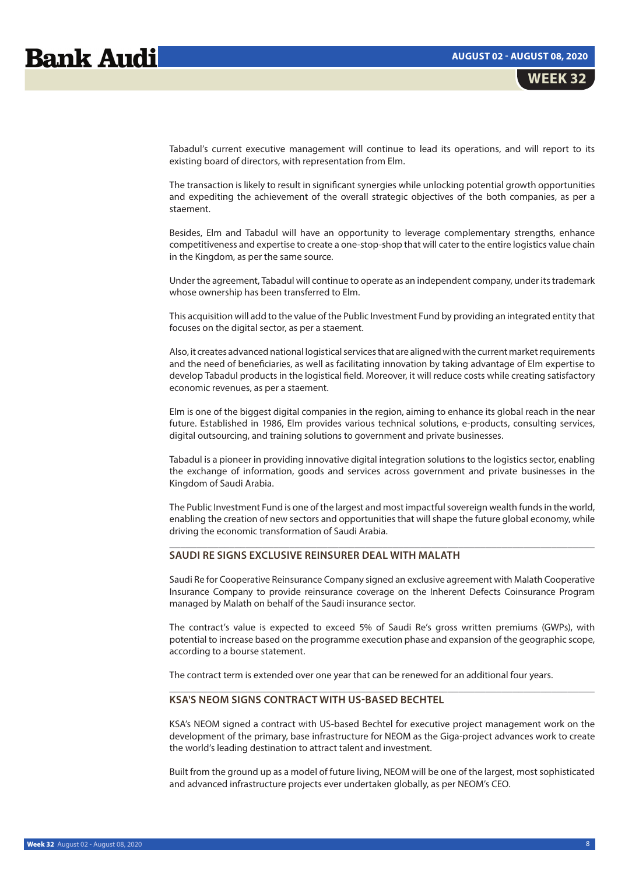# **Bank Audi**

Tabadul's current executive management will continue to lead its operations, and will report to its existing board of directors, with representation from Elm.

The transaction is likely to result in significant synergies while unlocking potential growth opportunities and expediting the achievement of the overall strategic objectives of the both companies, as per a staement.

Besides, Elm and Tabadul will have an opportunity to leverage complementary strengths, enhance competitiveness and expertise to create a one-stop-shop that will cater to the entire logistics value chain in the Kingdom, as per the same source.

Under the agreement, Tabadul will continue to operate as an independent company, under its trademark whose ownership has been transferred to Elm.

This acquisition will add to the value of the Public Investment Fund by providing an integrated entity that focuses on the digital sector, as per a staement.

Also, it creates advanced national logistical services that are aligned with the current market requirements and the need of beneficiaries, as well as facilitating innovation by taking advantage of Elm expertise to develop Tabadul products in the logistical field. Moreover, it will reduce costs while creating satisfactory economic revenues, as per a staement.

Elm is one of the biggest digital companies in the region, aiming to enhance its global reach in the near future. Established in 1986, Elm provides various technical solutions, e-products, consulting services, digital outsourcing, and training solutions to government and private businesses.

Tabadul is a pioneer in providing innovative digital integration solutions to the logistics sector, enabling the exchange of information, goods and services across government and private businesses in the Kingdom of Saudi Arabia.

The Public Investment Fund is one of the largest and most impactful sovereign wealth funds in the world, enabling the creation of new sectors and opportunities that will shape the future global economy, while driving the economic transformation of Saudi Arabia.

 $\mathcal{L}_\mathcal{L} = \{ \mathcal{L}_\mathcal{L} = \{ \mathcal{L}_\mathcal{L} = \{ \mathcal{L}_\mathcal{L} = \{ \mathcal{L}_\mathcal{L} = \{ \mathcal{L}_\mathcal{L} = \{ \mathcal{L}_\mathcal{L} = \{ \mathcal{L}_\mathcal{L} = \{ \mathcal{L}_\mathcal{L} = \{ \mathcal{L}_\mathcal{L} = \{ \mathcal{L}_\mathcal{L} = \{ \mathcal{L}_\mathcal{L} = \{ \mathcal{L}_\mathcal{L} = \{ \mathcal{L}_\mathcal{L} = \{ \mathcal{L}_\mathcal{$ 

# **SAUDI RE SIGNS EXCLUSIVE REINSURER DEAL WITH MALATH**

Saudi Re for Cooperative Reinsurance Company signed an exclusive agreement with Malath Cooperative Insurance Company to provide reinsurance coverage on the Inherent Defects Coinsurance Program managed by Malath on behalf of the Saudi insurance sector.

The contract's value is expected to exceed 5% of Saudi Re's gross written premiums (GWPs), with potential to increase based on the programme execution phase and expansion of the geographic scope, according to a bourse statement.

 $\mathcal{L}_\mathcal{L} = \{ \mathcal{L}_\mathcal{L} = \{ \mathcal{L}_\mathcal{L} = \{ \mathcal{L}_\mathcal{L} = \{ \mathcal{L}_\mathcal{L} = \{ \mathcal{L}_\mathcal{L} = \{ \mathcal{L}_\mathcal{L} = \{ \mathcal{L}_\mathcal{L} = \{ \mathcal{L}_\mathcal{L} = \{ \mathcal{L}_\mathcal{L} = \{ \mathcal{L}_\mathcal{L} = \{ \mathcal{L}_\mathcal{L} = \{ \mathcal{L}_\mathcal{L} = \{ \mathcal{L}_\mathcal{L} = \{ \mathcal{L}_\mathcal{$ 

The contract term is extended over one year that can be renewed for an additional four years.

# **KSA'S NEOM SIGNS CONTRACT WITH US-BASED BECHTEL**

KSA's NEOM signed a contract with US-based Bechtel for executive project management work on the development of the primary, base infrastructure for NEOM as the Giga-project advances work to create the world's leading destination to attract talent and investment.

Built from the ground up as a model of future living, NEOM will be one of the largest, most sophisticated and advanced infrastructure projects ever undertaken globally, as per NEOM's CEO.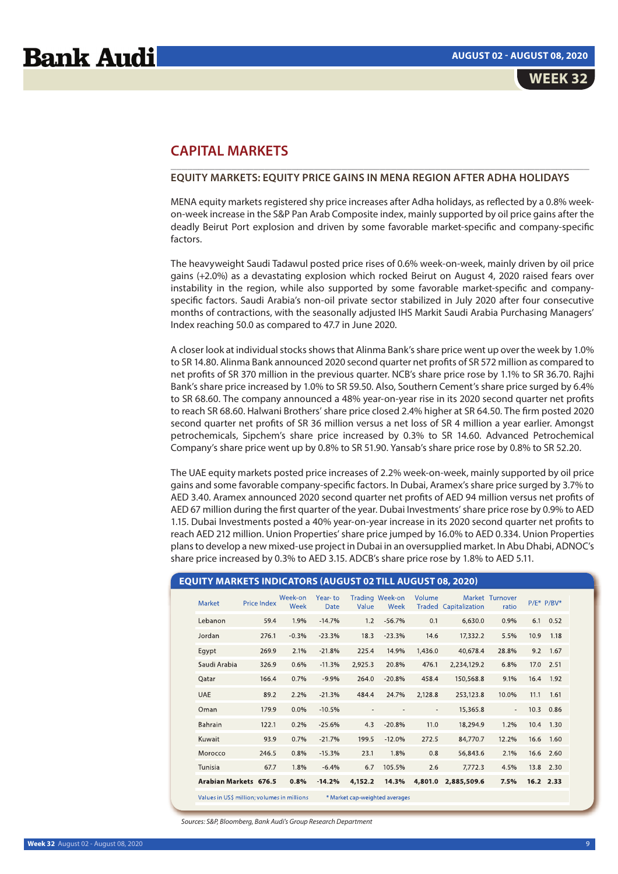# **CAPITAL MARKETS**

# **EQUITY MARKETS: EQUITY PRICE GAINS IN MENA REGION AFTER ADHA HOLIDAYS**

\_\_\_\_\_\_\_\_\_\_\_\_\_\_\_\_\_\_\_\_\_\_\_\_\_\_\_\_\_\_\_\_\_\_\_\_\_\_\_\_\_\_\_\_\_\_\_\_\_\_\_\_\_\_\_\_\_\_\_\_\_\_\_\_\_\_\_\_\_\_\_\_\_\_\_\_

MENA equity markets registered shy price increases after Adha holidays, as reflected by a 0.8% weekon-week increase in the S&P Pan Arab Composite index, mainly supported by oil price gains after the deadly Beirut Port explosion and driven by some favorable market-specific and company-specific factors.

The heavyweight Saudi Tadawul posted price rises of 0.6% week-on-week, mainly driven by oil price gains (+2.0%) as a devastating explosion which rocked Beirut on August 4, 2020 raised fears over instability in the region, while also supported by some favorable market-specific and companyspecific factors. Saudi Arabia's non-oil private sector stabilized in July 2020 after four consecutive months of contractions, with the seasonally adjusted IHS Markit Saudi Arabia Purchasing Managers' Index reaching 50.0 as compared to 47.7 in June 2020.

A closer look at individual stocks shows that Alinma Bank's share price went up over the week by 1.0% to SR 14.80. Alinma Bank announced 2020 second quarter net profits of SR 572 million as compared to net profits of SR 370 million in the previous quarter. NCB's share price rose by 1.1% to SR 36.70. Rajhi Bank's share price increased by 1.0% to SR 59.50. Also, Southern Cement's share price surged by 6.4% to SR 68.60. The company announced a 48% year-on-year rise in its 2020 second quarter net profits to reach SR 68.60. Halwani Brothers' share price closed 2.4% higher at SR 64.50. The firm posted 2020 second quarter net profits of SR 36 million versus a net loss of SR 4 million a year earlier. Amongst petrochemicals, Sipchem's share price increased by 0.3% to SR 14.60. Advanced Petrochemical Company's share price went up by 0.8% to SR 51.90. Yansab's share price rose by 0.8% to SR 52.20.

The UAE equity markets posted price increases of 2.2% week-on-week, mainly supported by oil price gains and some favorable company-specific factors. In Dubai, Aramex's share price surged by 3.7% to AED 3.40. Aramex announced 2020 second quarter net profits of AED 94 million versus net profits of AED 67 million during the first quarter of the year. Dubai Investments' share price rose by 0.9% to AED 1.15. Dubai Investments posted a 40% year-on-year increase in its 2020 second quarter net profits to reach AED 212 million. Union Properties' share price jumped by 16.0% to AED 0.334. Union Properties plans to develop a new mixed-use project in Dubai in an oversupplied market. In Abu Dhabi, ADNOC's share price increased by 0.3% to AED 3.15. ADCB's share price rose by 1.8% to AED 5.11.

| <b>EQUITY MARKETS INDICATORS (AUGUST 02 TILL AUGUST 08, 2020)</b> |                    |                 |                        |                |                                |                |                              |                          |      |                  |
|-------------------------------------------------------------------|--------------------|-----------------|------------------------|----------------|--------------------------------|----------------|------------------------------|--------------------------|------|------------------|
| Market                                                            | <b>Price Index</b> | Week-on<br>Week | Year-to<br><b>Date</b> | Value          | Trading Week-on<br>Week        | Volume         | <b>Traded Capitalization</b> | Market Turnover<br>ratio |      | $P/E^*$ $P/BV^*$ |
| Lebanon                                                           | 59.4               | 1.9%            | $-14.7%$               | 1.2            | $-56.7%$                       | 0.1            | 6,630.0                      | 0.9%                     | 6.1  | 0.52             |
| Jordan                                                            | 276.1              | $-0.3%$         | $-23.3%$               | 18.3           | $-23.3%$                       | 14.6           | 17,332.2                     | 5.5%                     | 10.9 | 1.18             |
| Egypt                                                             | 269.9              | 2.1%            | $-21.8%$               | 225.4          | 14.9%                          | 1,436.0        | 40,678.4                     | 28.8%                    | 9.2  | 1.67             |
| Saudi Arabia                                                      | 326.9              | 0.6%            | $-11.3%$               | 2,925.3        | 20.8%                          | 476.1          | 2,234,129.2                  | 6.8%                     | 17.0 | 2.51             |
| Qatar                                                             | 166.4              | 0.7%            | $-9.9%$                | 264.0          | $-20.8%$                       | 458.4          | 150,568.8                    | 9.1%                     | 16.4 | 1.92             |
| <b>UAE</b>                                                        | 89.2               | 2.2%            | $-21.3%$               | 484.4          | 24.7%                          | 2,128.8        | 253,123.8                    | 10.0%                    | 11.1 | 1.61             |
| Oman                                                              | 179.9              | 0.0%            | $-10.5%$               | $\blacksquare$ |                                | $\blacksquare$ | 15,365.8                     | $\blacksquare$           | 10.3 | 0.86             |
| Bahrain                                                           | 122.1              | 0.2%            | $-25.6%$               | 4.3            | $-20.8%$                       | 11.0           | 18,294.9                     | 1.2%                     | 10.4 | 1.30             |
| Kuwait                                                            | 93.9               | 0.7%            | $-21.7%$               | 199.5          | $-12.0%$                       | 272.5          | 84,770.7                     | 12.2%                    | 16.6 | 1.60             |
| Morocco                                                           | 246.5              | 0.8%            | $-15.3%$               | 23.1           | 1.8%                           | 0.8            | 56,843.6                     | 2.1%                     | 16.6 | 2.60             |
| Tunisia                                                           | 67.7               | 1.8%            | $-6.4%$                | 6.7            | 105.5%                         | 2.6            | 7,772.3                      | 4.5%                     | 13.8 | 2.30             |
| Arabian Markets 676.5                                             |                    | 0.8%            | $-14.2%$               | 4,152.2        | 14.3%                          | 4,801.0        | 2.885.509.6                  | 7.5%                     |      | 16.2 2.33        |
| Values in US\$ million; volumes in millions                       |                    |                 |                        |                | * Market cap-weighted averages |                |                              |                          |      |                  |

Sources: S&P, Bloomberg, Bank Audi's Group Research Department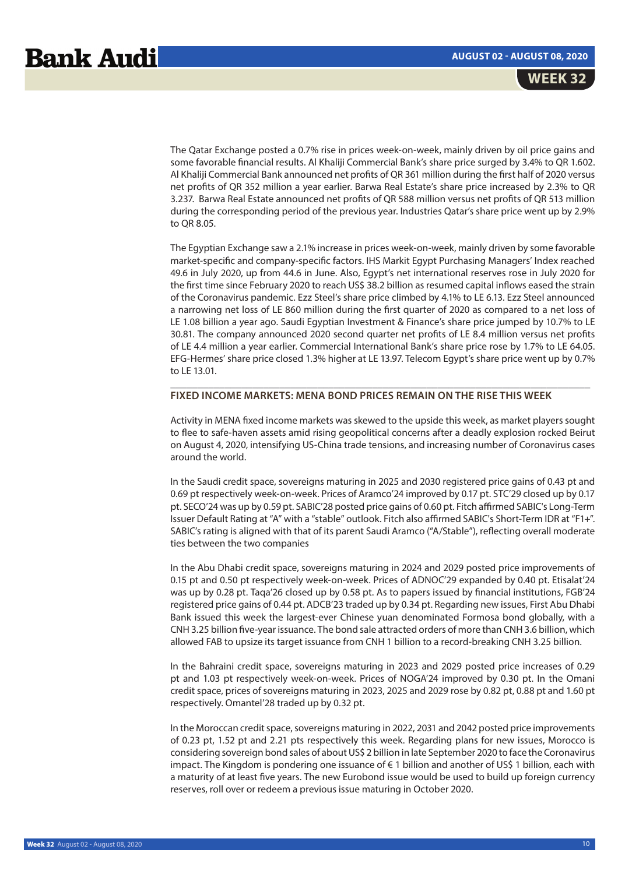The Qatar Exchange posted a 0.7% rise in prices week-on-week, mainly driven by oil price gains and some favorable financial results. Al Khaliji Commercial Bank's share price surged by 3.4% to QR 1.602. Al Khaliji Commercial Bank announced net profits of QR 361 million during the first half of 2020 versus net profits of QR 352 million a year earlier. Barwa Real Estate's share price increased by 2.3% to QR 3.237. Barwa Real Estate announced net profits of QR 588 million versus net profits of QR 513 million during the corresponding period of the previous year. Industries Qatar's share price went up by 2.9% to QR 8.05.

The Egyptian Exchange saw a 2.1% increase in prices week-on-week, mainly driven by some favorable market-specific and company-specific factors. IHS Markit Egypt Purchasing Managers' Index reached 49.6 in July 2020, up from 44.6 in June. Also, Egypt's net international reserves rose in July 2020 for the first time since February 2020 to reach US\$ 38.2 billion as resumed capital inflows eased the strain of the Coronavirus pandemic. Ezz Steel's share price climbed by 4.1% to LE 6.13. Ezz Steel announced a narrowing net loss of LE 860 million during the first quarter of 2020 as compared to a net loss of LE 1.08 billion a year ago. Saudi Egyptian Investment & Finance's share price jumped by 10.7% to LE 30.81. The company announced 2020 second quarter net profits of LE 8.4 million versus net profits of LE 4.4 million a year earlier. Commercial International Bank's share price rose by 1.7% to LE 64.05. EFG-Hermes' share price closed 1.3% higher at LE 13.97. Telecom Egypt's share price went up by 0.7% to LE 13.01.

# **FIXED INCOME MARKETS: MENA BOND PRICES REMAIN ON THE RISE THIS WEEK**

Activity in MENA fixed income markets was skewed to the upside this week, as market players sought to flee to safe-haven assets amid rising geopolitical concerns after a deadly explosion rocked Beirut on August 4, 2020, intensifying US-China trade tensions, and increasing number of Coronavirus cases around the world.

\_\_\_\_\_\_\_\_\_\_\_\_\_\_\_\_\_\_\_\_\_\_\_\_\_\_\_\_\_\_\_\_\_\_\_\_\_\_\_\_\_\_\_\_\_\_\_\_\_\_\_\_\_\_\_\_\_\_\_\_\_\_\_\_\_\_\_\_\_\_\_\_\_\_\_\_\_

In the Saudi credit space, sovereigns maturing in 2025 and 2030 registered price gains of 0.43 pt and 0.69 pt respectively week-on-week. Prices of Aramco'24 improved by 0.17 pt. STC'29 closed up by 0.17 pt. SECO'24 was up by 0.59 pt. SABIC'28 posted price gains of 0.60 pt. Fitch affirmed SABIC's Long-Term Issuer Default Rating at "A" with a "stable" outlook. Fitch also affirmed SABIC's Short-Term IDR at "F1+". SABIC's rating is aligned with that of its parent Saudi Aramco ("A/Stable"), reflecting overall moderate ties between the two companies

In the Abu Dhabi credit space, sovereigns maturing in 2024 and 2029 posted price improvements of 0.15 pt and 0.50 pt respectively week-on-week. Prices of ADNOC'29 expanded by 0.40 pt. Etisalat'24 was up by 0.28 pt. Taqa'26 closed up by 0.58 pt. As to papers issued by financial institutions, FGB'24 registered price gains of 0.44 pt. ADCB'23 traded up by 0.34 pt. Regarding new issues, First Abu Dhabi Bank issued this week the largest-ever Chinese yuan denominated Formosa bond globally, with a CNH 3.25 billion five-year issuance. The bond sale attracted orders of more than CNH 3.6 billion, which allowed FAB to upsize its target issuance from CNH 1 billion to a record-breaking CNH 3.25 billion.

In the Bahraini credit space, sovereigns maturing in 2023 and 2029 posted price increases of 0.29 pt and 1.03 pt respectively week-on-week. Prices of NOGA'24 improved by 0.30 pt. In the Omani credit space, prices of sovereigns maturing in 2023, 2025 and 2029 rose by 0.82 pt, 0.88 pt and 1.60 pt respectively. Omantel'28 traded up by 0.32 pt.

In the Moroccan credit space, sovereigns maturing in 2022, 2031 and 2042 posted price improvements of 0.23 pt, 1.52 pt and 2.21 pts respectively this week. Regarding plans for new issues, Morocco is considering sovereign bond sales of about US\$ 2 billion in late September 2020 to face the Coronavirus impact. The Kingdom is pondering one issuance of € 1 billion and another of US\$ 1 billion, each with a maturity of at least five years. The new Eurobond issue would be used to build up foreign currency reserves, roll over or redeem a previous issue maturing in October 2020.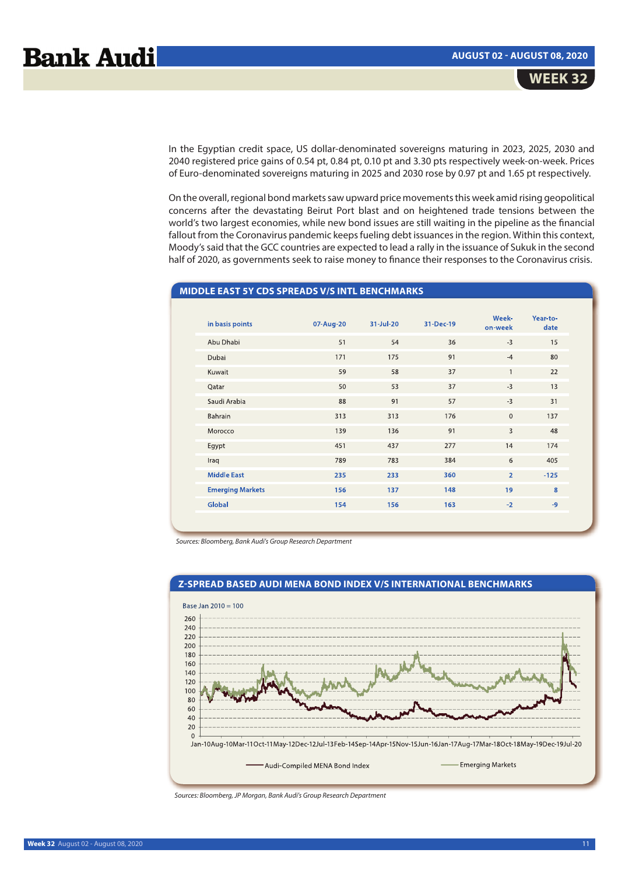In the Egyptian credit space, US dollar-denominated sovereigns maturing in 2023, 2025, 2030 and 2040 registered price gains of 0.54 pt, 0.84 pt, 0.10 pt and 3.30 pts respectively week-on-week. Prices of Euro-denominated sovereigns maturing in 2025 and 2030 rose by 0.97 pt and 1.65 pt respectively.

On the overall, regional bond markets saw upward price movements this week amid rising geopolitical concerns after the devastating Beirut Port blast and on heightened trade tensions between the world's two largest economies, while new bond issues are still waiting in the pipeline as the financial fallout from the Coronavirus pandemic keeps fueling debt issuances in the region. Within this context, Moody's said that the GCC countries are expected to lead a rally in the issuance of Sukuk in the second half of 2020, as governments seek to raise money to finance their responses to the Coronavirus crisis.

# **MIDDLE EAST 5Y CDS SPREADS V/S INTL BENCHMARKS**

| in basis points         | 07-Aug-20 | 31-Jul-20 | 31-Dec-19 | Week-<br>on-week | Year-to-<br>date |
|-------------------------|-----------|-----------|-----------|------------------|------------------|
| Abu Dhabi               | 51        | 54        | 36        | $-3$             | 15               |
| Dubai                   | 171       | 175       | 91        | $-4$             | 80               |
| Kuwait                  | 59        | 58        | 37        | $\mathbf{1}$     | 22               |
| Qatar                   | 50        | 53        | 37        | $-3$             | 13               |
| Saudi Arabia            | 88        | 91        | 57        | $-3$             | 31               |
| Bahrain                 | 313       | 313       | 176       | $\mathbf 0$      | 137              |
| Morocco                 | 139       | 136       | 91        | 3                | 48               |
| Egypt                   | 451       | 437       | 277       | 14               | 174              |
| Iraq                    | 789       | 783       | 384       | 6                | 405              |
| <b>Middle East</b>      | 235       | 233       | 360       | $\overline{2}$   | $-125$           |
| <b>Emerging Markets</b> | 156       | 137       | 148       | 19               | 8                |
| Global                  | 154       | 156       | 163       | $-2$             | $-9$             |
|                         |           |           |           |                  |                  |

Sources: Bloomberg, Bank Audi's Group Research Department



Sources: Bloomberg, JP Morgan, Bank Audi's Group Research Department